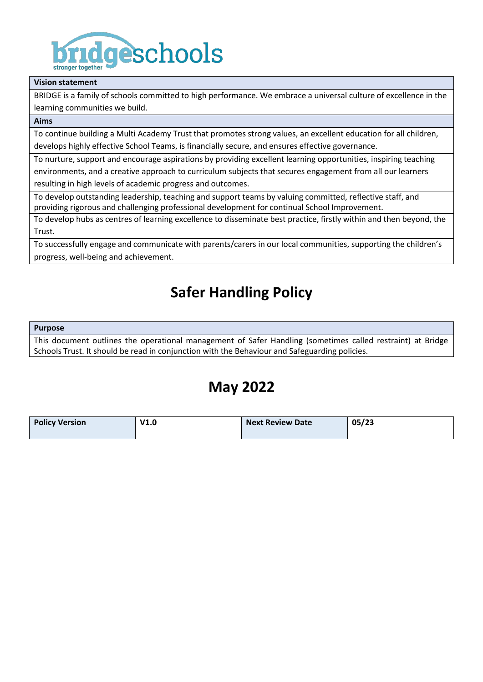

#### **Vision statement**

BRIDGE is a family of schools committed to high performance. We embrace a universal culture of excellence in the learning communities we build.

### **Aims**

To continue building a Multi Academy Trust that promotes strong values, an excellent education for all children, develops highly effective School Teams, is financially secure, and ensures effective governance.

To nurture, support and encourage aspirations by providing excellent learning opportunities, inspiring teaching environments, and a creative approach to curriculum subjects that secures engagement from all our learners resulting in high levels of academic progress and outcomes.

To develop outstanding leadership, teaching and support teams by valuing committed, reflective staff, and providing rigorous and challenging professional development for continual School Improvement.

To develop hubs as centres of learning excellence to disseminate best practice, firstly within and then beyond, the Trust.

To successfully engage and communicate with parents/carers in our local communities, supporting the children's progress, well-being and achievement.

# **Safer Handling Policy**

#### **Purpose**

This document outlines the operational management of Safer Handling (sometimes called restraint) at Bridge Schools Trust. It should be read in conjunction with the Behaviour and Safeguarding policies.

# **May 2022**

| <b>Policy Version</b> | V1.0 | <b>Next Review Date</b> | 05/23 |
|-----------------------|------|-------------------------|-------|
|                       |      |                         |       |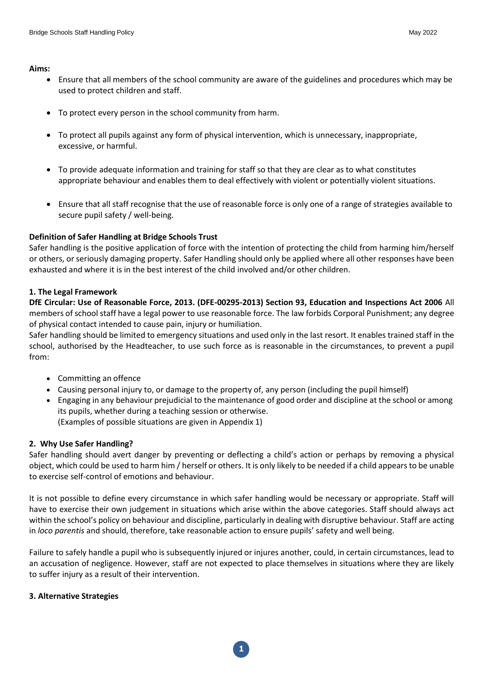**Aims:**

- Ensure that all members of the school community are aware of the guidelines and procedures which may be used to protect children and staff.
- To protect every person in the school community from harm.
- To protect all pupils against any form of physical intervention, which is unnecessary, inappropriate, excessive, or harmful.
- To provide adequate information and training for staff so that they are clear as to what constitutes appropriate behaviour and enables them to deal effectively with violent or potentially violent situations.
- Ensure that all staff recognise that the use of reasonable force is only one of a range of strategies available to secure pupil safety / well-being.

# **Definition of Safer Handling at Bridge Schools Trust**

Safer handling is the positive application of force with the intention of protecting the child from harming him/herself or others, or seriously damaging property. Safer Handling should only be applied where all other responses have been exhausted and where it is in the best interest of the child involved and/or other children.

# **1. The Legal Framework**

**DfE Circular: Use of Reasonable Force, 2013. (DFE-00295-2013) Section 93, Education and Inspections Act 2006** All members of school staff have a legal power to use reasonable force. The law forbids Corporal Punishment; any degree of physical contact intended to cause pain, injury or humiliation.

Safer handling should be limited to emergency situations and used only in the last resort. It enables trained staff in the school, authorised by the Headteacher, to use such force as is reasonable in the circumstances, to prevent a pupil from:

- Committing an offence
- Causing personal injury to, or damage to the property of, any person (including the pupil himself)
- Engaging in any behaviour prejudicial to the maintenance of good order and discipline at the school or among its pupils, whether during a teaching session or otherwise. (Examples of possible situations are given in Appendix 1)

# **2. Why Use Safer Handling?**

Safer handling should avert danger by preventing or deflecting a child's action or perhaps by removing a physical object, which could be used to harm him / herself or others. It is only likely to be needed if a child appears to be unable to exercise self-control of emotions and behaviour.

It is not possible to define every circumstance in which safer handling would be necessary or appropriate. Staff will have to exercise their own judgement in situations which arise within the above categories. Staff should always act within the school's policy on behaviour and discipline, particularly in dealing with disruptive behaviour. Staff are acting in *loco parentis* and should, therefore, take reasonable action to ensure pupils' safety and well being.

Failure to safely handle a pupil who is subsequently injured or injures another, could, in certain circumstances, lead to an accusation of negligence. However, staff are not expected to place themselves in situations where they are likely to suffer injury as a result of their intervention.

# **3. Alternative Strategies**

**1**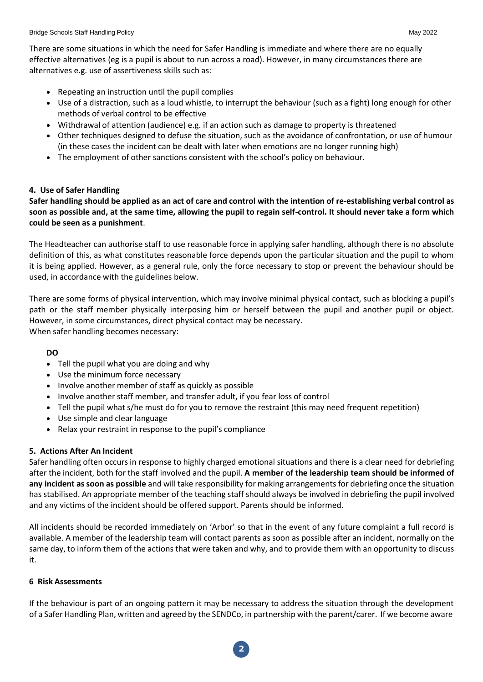There are some situations in which the need for Safer Handling is immediate and where there are no equally effective alternatives (eg is a pupil is about to run across a road). However, in many circumstances there are alternatives e.g. use of assertiveness skills such as:

- Repeating an instruction until the pupil complies
- Use of a distraction, such as a loud whistle, to interrupt the behaviour (such as a fight) long enough for other methods of verbal control to be effective
- Withdrawal of attention (audience) e.g. if an action such as damage to property is threatened
- Other techniques designed to defuse the situation, such as the avoidance of confrontation, or use of humour (in these cases the incident can be dealt with later when emotions are no longer running high)
- The employment of other sanctions consistent with the school's policy on behaviour.

## **4. Use of Safer Handling**

Safer handling should be applied as an act of care and control with the intention of re-establishing verbal control as **soon as possible and, at the same time, allowing the pupil to regain self-control. It should never take a form which could be seen as a punishment**.

The Headteacher can authorise staff to use reasonable force in applying safer handling, although there is no absolute definition of this, as what constitutes reasonable force depends upon the particular situation and the pupil to whom it is being applied. However, as a general rule, only the force necessary to stop or prevent the behaviour should be used, in accordance with the guidelines below.

There are some forms of physical intervention, which may involve minimal physical contact, such as blocking a pupil's path or the staff member physically interposing him or herself between the pupil and another pupil or object. However, in some circumstances, direct physical contact may be necessary. When safer handling becomes necessary:

### **DO**

- Tell the pupil what you are doing and why
- Use the minimum force necessary
- Involve another member of staff as quickly as possible
- Involve another staff member, and transfer adult, if you fear loss of control
- Tell the pupil what s/he must do for you to remove the restraint (this may need frequent repetition)
- Use simple and clear language
- Relax your restraint in response to the pupil's compliance

### **5. Actions After An Incident**

Safer handling often occurs in response to highly charged emotional situations and there is a clear need for debriefing after the incident, both for the staff involved and the pupil. **A member of the leadership team should be informed of any incident assoon as possible** and will take responsibility for making arrangements for debriefing once the situation has stabilised. An appropriate member of the teaching staff should always be involved in debriefing the pupil involved and any victims of the incident should be offered support. Parents should be informed.

All incidents should be recorded immediately on 'Arbor' so that in the event of any future complaint a full record is available. A member of the leadership team will contact parents as soon as possible after an incident, normally on the same day, to inform them of the actions that were taken and why, and to provide them with an opportunity to discuss it.

### **6 Risk Assessments**

If the behaviour is part of an ongoing pattern it may be necessary to address the situation through the development of a Safer Handling Plan, written and agreed by the SENDCo, in partnership with the parent/carer. If we become aware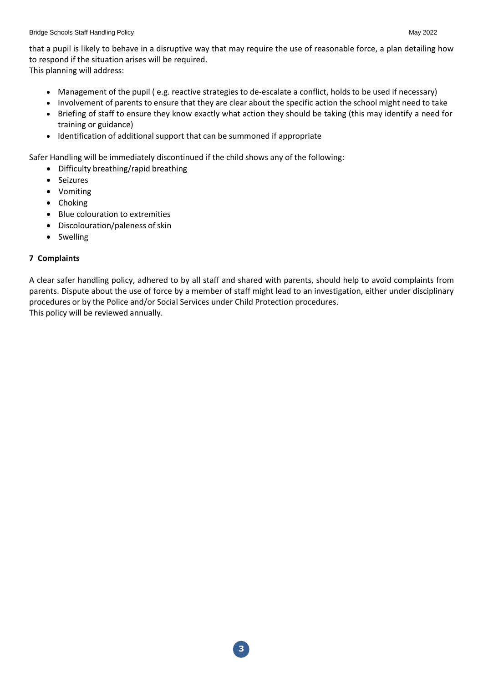that a pupil is likely to behave in a disruptive way that may require the use of reasonable force, a plan detailing how to respond if the situation arises will be required. This planning will address:

- Management of the pupil ( e.g. reactive strategies to de-escalate a conflict, holds to be used if necessary)
- Involvement of parents to ensure that they are clear about the specific action the school might need to take
- Briefing of staff to ensure they know exactly what action they should be taking (this may identify a need for training or guidance)
- Identification of additional support that can be summoned if appropriate

Safer Handling will be immediately discontinued if the child shows any of the following:

- Difficulty breathing/rapid breathing
- Seizures
- Vomiting
- Choking
- Blue colouration to extremities
- Discolouration/paleness of skin
- Swelling

# **7 Complaints**

A clear safer handling policy, adhered to by all staff and shared with parents, should help to avoid complaints from parents. Dispute about the use of force by a member of staff might lead to an investigation, either under disciplinary procedures or by the Police and/or Social Services under Child Protection procedures. This policy will be reviewed annually.